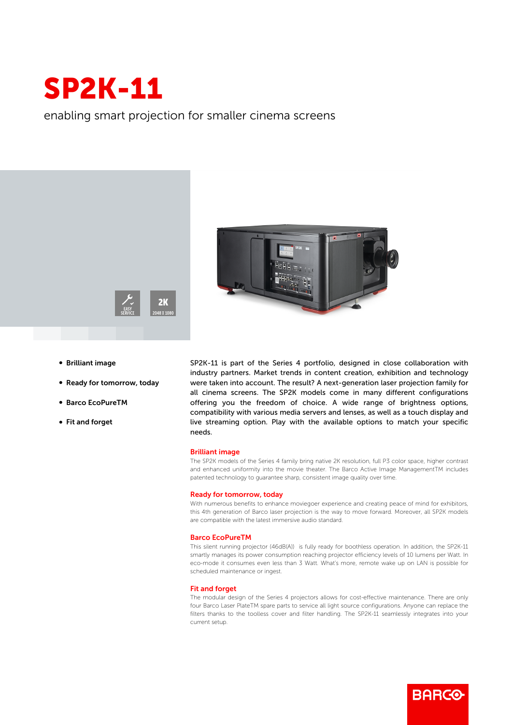

enabling smart projection for smaller cinema screens





- **Brilliant image**
- Ready for tomorrow, today
- b Barco EcoPureTM
- Fit and forget

SP2K-11 is part of the Series 4 portfolio, designed in close collaboration with industry partners. Market trends in content creation, exhibition and technology were taken into account. The result? A next-generation laser projection family for all cinema screens. The SP2K models come in many different configurations offering you the freedom of choice. A wide range of brightness options, compatibility with various media servers and lenses, as well as a touch display and live streaming option. Play with the available options to match your specific needs.

## Brilliant image

The SP2K models of the Series 4 family bring native 2K resolution, full P3 color space, higher contrast and enhanced uniformity into the movie theater. The Barco Active Image ManagementTM includes patented technology to guarantee sharp, consistent image quality over time.

#### Ready for tomorrow, today

With numerous benefits to enhance moviegoer experience and creating peace of mind for exhibitors, this 4th generation of Barco laser projection is the way to move forward. Moreover, all SP2K models are compatible with the latest immersive audio standard.

#### Barco EcoPureTM

This silent running projector (46dB(A)) is fully ready for boothless operation. In addition, the SP2K-11 smartly manages its power consumption reaching projector efficiency levels of 10 lumens per Watt. In eco-mode it consumes even less than 3 Watt. What's more, remote wake up on LAN is possible for scheduled maintenance or ingest.

### Fit and forget

The modular design of the Series 4 projectors allows for cost-effective maintenance. There are only four Barco Laser PlateTM spare parts to service all light source configurations. Anyone can replace the filters thanks to the toolless cover and filter handling. The SP2K-11 seamlessly integrates into your current setup.